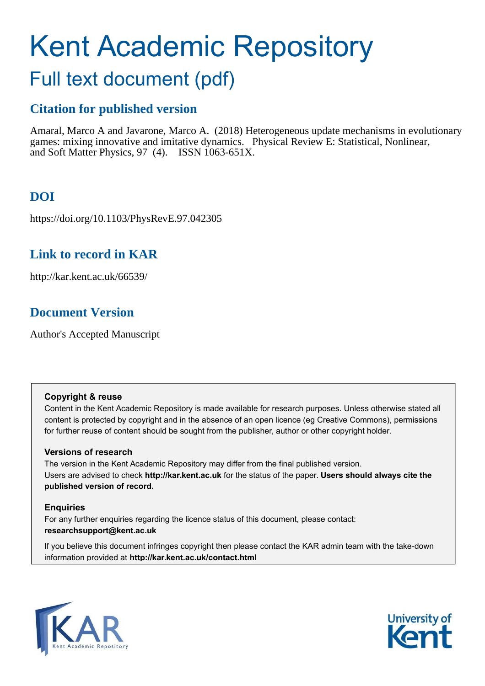# Kent Academic Repository

## Full text document (pdf)

## **Citation for published version**

Amaral, Marco A and Javarone, Marco A. (2018) Heterogeneous update mechanisms in evolutionary games: mixing innovative and imitative dynamics. Physical Review E: Statistical, Nonlinear, and Soft Matter Physics, 97 (4). ISSN 1063-651X.

## **DOI**

https://doi.org/10.1103/PhysRevE.97.042305

## **Link to record in KAR**

http://kar.kent.ac.uk/66539/

## **Document Version**

Author's Accepted Manuscript

#### **Copyright & reuse**

Content in the Kent Academic Repository is made available for research purposes. Unless otherwise stated all content is protected by copyright and in the absence of an open licence (eg Creative Commons), permissions for further reuse of content should be sought from the publisher, author or other copyright holder.

#### **Versions of research**

The version in the Kent Academic Repository may differ from the final published version. Users are advised to check **http://kar.kent.ac.uk** for the status of the paper. **Users should always cite the published version of record.**

#### **Enquiries**

For any further enquiries regarding the licence status of this document, please contact: **researchsupport@kent.ac.uk**

If you believe this document infringes copyright then please contact the KAR admin team with the take-down information provided at **http://kar.kent.ac.uk/contact.html**



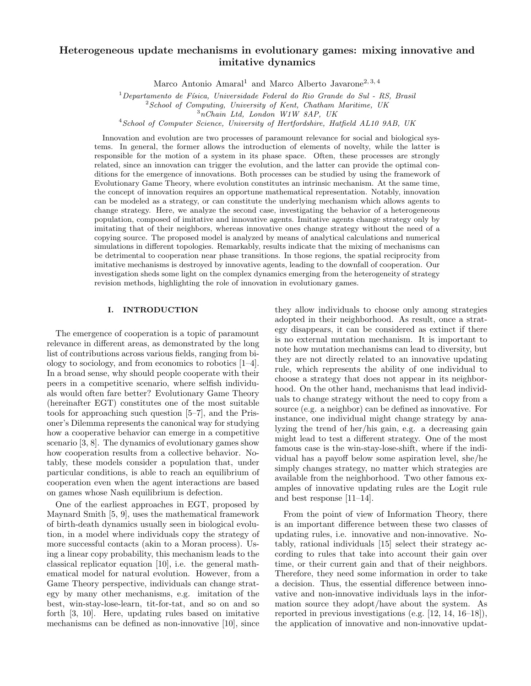#### Heterogeneous update mechanisms in evolutionary games: mixing innovative and imitative dynamics

Marco Antonio Amaral<sup>1</sup> and Marco Alberto Javarone<sup>2, 3, 4</sup>

 $1$ Departamento de Física, Universidade Federal do Rio Grande do Sul - RS, Brasil

 $2^2$ School of Computing, University of Kent, Chatham Maritime, UK

 $3nChain$  Ltd, London W1W 8AP, UK

<sup>4</sup> School of Computer Science, University of Hertfordshire, Hatfield AL10 9AB, UK

Innovation and evolution are two processes of paramount relevance for social and biological systems. In general, the former allows the introduction of elements of novelty, while the latter is responsible for the motion of a system in its phase space. Often, these processes are strongly related, since an innovation can trigger the evolution, and the latter can provide the optimal conditions for the emergence of innovations. Both processes can be studied by using the framework of Evolutionary Game Theory, where evolution constitutes an intrinsic mechanism. At the same time, the concept of innovation requires an opportune mathematical representation. Notably, innovation can be modeled as a strategy, or can constitute the underlying mechanism which allows agents to change strategy. Here, we analyze the second case, investigating the behavior of a heterogeneous population, composed of imitative and innovative agents. Imitative agents change strategy only by imitating that of their neighbors, whereas innovative ones change strategy without the need of a copying source. The proposed model is analyzed by means of analytical calculations and numerical simulations in different topologies. Remarkably, results indicate that the mixing of mechanisms can be detrimental to cooperation near phase transitions. In those regions, the spatial reciprocity from imitative mechanisms is destroyed by innovative agents, leading to the downfall of cooperation. Our investigation sheds some light on the complex dynamics emerging from the heterogeneity of strategy revision methods, highlighting the role of innovation in evolutionary games.

#### I. INTRODUCTION

The emergence of cooperation is a topic of paramount relevance in different areas, as demonstrated by the long list of contributions across various fields, ranging from biology to sociology, and from economics to robotics [1–4]. In a broad sense, why should people cooperate with their peers in a competitive scenario, where selfish individuals would often fare better? Evolutionary Game Theory (hereinafter EGT) constitutes one of the most suitable tools for approaching such question [5–7], and the Prisoner's Dilemma represents the canonical way for studying how a cooperative behavior can emerge in a competitive scenario [3, 8]. The dynamics of evolutionary games show how cooperation results from a collective behavior. Notably, these models consider a population that, under particular conditions, is able to reach an equilibrium of cooperation even when the agent interactions are based on games whose Nash equilibrium is defection.

One of the earliest approaches in EGT, proposed by Maynard Smith [5, 9], uses the mathematical framework of birth-death dynamics usually seen in biological evolution, in a model where individuals copy the strategy of more successful contacts (akin to a Moran process). Using a linear copy probability, this mechanism leads to the classical replicator equation [10], i.e. the general mathematical model for natural evolution. However, from a Game Theory perspective, individuals can change strategy by many other mechanisms, e.g. imitation of the best, win-stay-lose-learn, tit-for-tat, and so on and so forth [3, 10]. Here, updating rules based on imitative mechanisms can be defined as non-innovative [10], since they allow individuals to choose only among strategies adopted in their neighborhood. As result, once a strategy disappears, it can be considered as extinct if there is no external mutation mechanism. It is important to note how mutation mechanisms can lead to diversity, but they are not directly related to an innovative updating rule, which represents the ability of one individual to choose a strategy that does not appear in its neighborhood. On the other hand, mechanisms that lead individuals to change strategy without the need to copy from a source (e.g. a neighbor) can be defined as innovative. For instance, one individual might change strategy by analyzing the trend of her/his gain, e.g. a decreasing gain might lead to test a different strategy. One of the most famous case is the win-stay-lose-shift, where if the individual has a payoff below some aspiration level, she/he simply changes strategy, no matter which strategies are available from the neighborhood. Two other famous examples of innovative updating rules are the Logit rule and best response [11–14].

From the point of view of Information Theory, there is an important difference between these two classes of updating rules, i.e. innovative and non-innovative. Notably, rational individuals [15] select their strategy according to rules that take into account their gain over time, or their current gain and that of their neighbors. Therefore, they need some information in order to take a decision. Thus, the essential difference between innovative and non-innovative individuals lays in the information source they adopt/have about the system. As reported in previous investigations (e.g. [12, 14, 16–18]), the application of innovative and non-innovative updat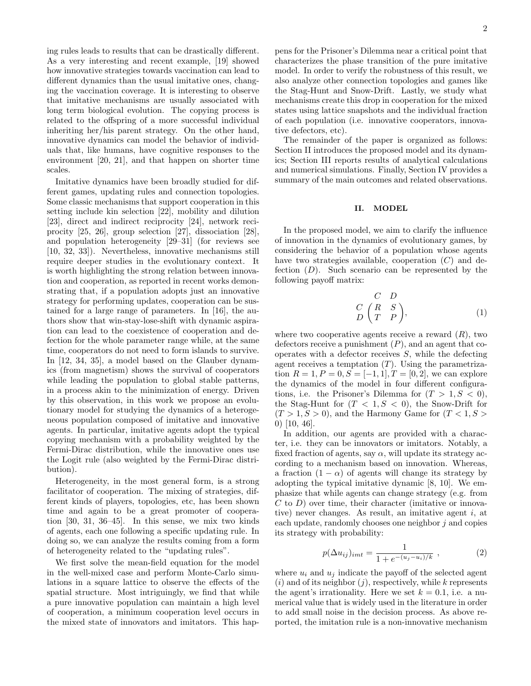ing rules leads to results that can be drastically different. As a very interesting and recent example, [19] showed how innovative strategies towards vaccination can lead to different dynamics than the usual imitative ones, changing the vaccination coverage. It is interesting to observe that imitative mechanisms are usually associated with long term biological evolution. The copying process is related to the offspring of a more successful individual inheriting her/his parent strategy. On the other hand, innovative dynamics can model the behavior of individuals that, like humans, have cognitive responses to the environment [20, 21], and that happen on shorter time scales.

Imitative dynamics have been broadly studied for different games, updating rules and connection topologies. Some classic mechanisms that support cooperation in this setting include kin selection [22], mobility and dilution [23], direct and indirect reciprocity [24], network reciprocity [25, 26], group selection [27], dissociation [28], and population heterogeneity [29–31] (for reviews see [10, 32, 33]). Nevertheless, innovative mechanisms still require deeper studies in the evolutionary context. It is worth highlighting the strong relation between innovation and cooperation, as reported in recent works demonstrating that, if a population adopts just an innovative strategy for performing updates, cooperation can be sustained for a large range of parameters. In [16], the authors show that win-stay-lose-shift with dynamic aspiration can lead to the coexistence of cooperation and defection for the whole parameter range while, at the same time, cooperators do not need to form islands to survive. In [12, 34, 35], a model based on the Glauber dynamics (from magnetism) shows the survival of cooperators while leading the population to global stable patterns, in a process akin to the minimization of energy. Driven by this observation, in this work we propose an evolutionary model for studying the dynamics of a heterogeneous population composed of imitative and innovative agents. In particular, imitative agents adopt the typical copying mechanism with a probability weighted by the Fermi-Dirac distribution, while the innovative ones use the Logit rule (also weighted by the Fermi-Dirac distribution).

Heterogeneity, in the most general form, is a strong facilitator of cooperation. The mixing of strategies, different kinds of players, topologies, etc, has been shown time and again to be a great promoter of cooperation [30, 31, 36–45]. In this sense, we mix two kinds of agents, each one following a specific updating rule. In doing so, we can analyze the results coming from a form of heterogeneity related to the "updating rules".

We first solve the mean-field equation for the model in the well-mixed case and perform Monte-Carlo simulations in a square lattice to observe the effects of the spatial structure. Most intriguingly, we find that while a pure innovative population can maintain a high level of cooperation, a minimum cooperation level occurs in the mixed state of innovators and imitators. This happens for the Prisoner's Dilemma near a critical point that characterizes the phase transition of the pure imitative model. In order to verify the robustness of this result, we also analyze other connection topologies and games like the Stag-Hunt and Snow-Drift. Lastly, we study what mechanisms create this drop in cooperation for the mixed states using lattice snapshots and the individual fraction of each population (i.e. innovative cooperators, innovative defectors, etc).

The remainder of the paper is organized as follows: Section II introduces the proposed model and its dynamics; Section III reports results of analytical calculations and numerical simulations. Finally, Section IV provides a summary of the main outcomes and related observations.

#### II. MODEL

In the proposed model, we aim to clarify the influence of innovation in the dynamics of evolutionary games, by considering the behavior of a population whose agents have two strategies available, cooperation  $(C)$  and defection  $(D)$ . Such scenario can be represented by the following payoff matrix:

$$
\begin{array}{ccc}\nC & D \\
C & R & S \\
D & T & P\n\end{array}
$$
\n(1)

where two cooperative agents receive a reward  $(R)$ , two defectors receive a punishment  $(P)$ , and an agent that cooperates with a defector receives  $S$ , while the defecting agent receives a temptation  $(T)$ . Using the parametrization  $R = 1, P = 0, S = [-1, 1], T = [0, 2]$ , we can explore the dynamics of the model in four different configurations, i.e. the Prisoner's Dilemma for  $(T > 1, S < 0)$ , the Stag-Hunt for  $(T < 1, S < 0)$ , the Snow-Drift for  $(T > 1, S > 0)$ , and the Harmony Game for  $(T < 1, S > 1)$ 0) [10, 46].

In addition, our agents are provided with a character, i.e. they can be innovators or imitators. Notably, a fixed fraction of agents, say  $\alpha$ , will update its strategy according to a mechanism based on innovation. Whereas, a fraction  $(1 - \alpha)$  of agents will change its strategy by adopting the typical imitative dynamic [8, 10]. We emphasize that while agents can change strategy (e.g. from  $C$  to  $D$ ) over time, their character (imitative or innovative) never changes. As result, an imitative agent i, at each update, randomly chooses one neighbor j and copies its strategy with probability:

$$
p(\Delta u_{ij})_{imt} = \frac{1}{1 + e^{-(u_j - u_i)/k}} , \qquad (2)
$$

where  $u_i$  and  $u_j$  indicate the payoff of the selected agent  $(i)$  and of its neighbor  $(j)$ , respectively, while k represents the agent's irrationality. Here we set  $k = 0.1$ , i.e. a numerical value that is widely used in the literature in order to add small noise in the decision process. As above reported, the imitation rule is a non-innovative mechanism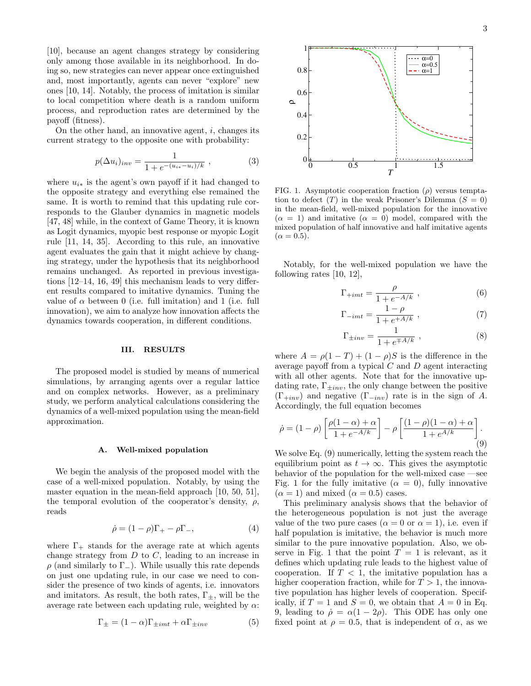[10], because an agent changes strategy by considering only among those available in its neighborhood. In doing so, new strategies can never appear once extinguished and, most importantly, agents can never "explore" new ones [10, 14]. Notably, the process of imitation is similar to local competition where death is a random uniform process, and reproduction rates are determined by the payoff (fitness).

On the other hand, an innovative agent, i, changes its current strategy to the opposite one with probability:

$$
p(\Delta u_i)_{inv} = \frac{1}{1 + e^{-(u_{i*} - u_i)/k}} , \qquad (3)
$$

where  $u_{i*}$  is the agent's own payoff if it had changed to the opposite strategy and everything else remained the same. It is worth to remind that this updating rule corresponds to the Glauber dynamics in magnetic models [47, 48] while, in the context of Game Theory, it is known as Logit dynamics, myopic best response or myopic Logit rule [11, 14, 35]. According to this rule, an innovative agent evaluates the gain that it might achieve by changing strategy, under the hypothesis that its neighborhood remains unchanged. As reported in previous investigations [12–14, 16, 49] this mechanism leads to very different results compared to imitative dynamics. Tuning the value of  $\alpha$  between 0 (i.e. full imitation) and 1 (i.e. full innovation), we aim to analyze how innovation affects the dynamics towards cooperation, in different conditions.

#### III. RESULTS

The proposed model is studied by means of numerical simulations, by arranging agents over a regular lattice and on complex networks. However, as a preliminary study, we perform analytical calculations considering the dynamics of a well-mixed population using the mean-field approximation.

#### A. Well-mixed population

We begin the analysis of the proposed model with the case of a well-mixed population. Notably, by using the master equation in the mean-field approach [10, 50, 51], the temporal evolution of the cooperator's density,  $\rho$ , reads

$$
\dot{\rho} = (1 - \rho)\Gamma_+ - \rho\Gamma_-, \tag{4}
$$

where  $\Gamma_{+}$  stands for the average rate at which agents change strategy from  $D$  to  $C$ , leading to an increase in  $\rho$  (and similarly to  $\Gamma$ ). While usually this rate depends on just one updating rule, in our case we need to consider the presence of two kinds of agents, i.e. innovators and imitators. As result, the both rates,  $\Gamma_{\pm}$ , will be the average rate between each updating rule, weighted by  $\alpha$ :

$$
\Gamma_{\pm} = (1 - \alpha)\Gamma_{\pm imt} + \alpha \Gamma_{\pm inv} \tag{5}
$$



FIG. 1. Asymptotic cooperation fraction  $(\rho)$  versus temptation to defect  $(T)$  in the weak Prisoner's Dilemma  $(S = 0)$ in the mean-field, well-mixed population for the innovative  $(\alpha = 1)$  and imitative  $(\alpha = 0)$  model, compared with the mixed population of half innovative and half imitative agents  $(\alpha = 0.5)$ .

Notably, for the well-mixed population we have the following rates [10, 12],

$$
\Gamma_{+imt} = \frac{\rho}{1 + e^{-A/k}} \;, \tag{6}
$$

$$
\Gamma_{-imt} = \frac{1 - \rho}{1 + e^{+A/k}} \;, \tag{7}
$$

$$
\Gamma_{\pm inv} = \frac{1}{1 + e^{\mp A/k}} \;, \tag{8}
$$

where  $A = \rho(1 - T) + (1 - \rho)S$  is the difference in the average payoff from a typical  $C$  and  $D$  agent interacting with all other agents. Note that for the innovative updating rate,  $\Gamma_{\pm inv}$ , the only change between the positive  $(\Gamma_{+inv})$  and negative  $(\Gamma_{-inv})$  rate is in the sign of A. Accordingly, the full equation becomes

$$
\dot{\rho} = (1 - \rho) \left[ \frac{\rho(1 - \alpha) + \alpha}{1 + e^{-A/k}} \right] - \rho \left[ \frac{(1 - \rho)(1 - \alpha) + \alpha}{1 + e^{A/k}} \right].
$$
\n(9)

We solve Eq. (9) numerically, letting the system reach the equilibrium point as  $t \to \infty$ . This gives the asymptotic behavior of the population for the well-mixed case —see Fig. 1 for the fully imitative  $(\alpha = 0)$ , fully innovative  $(\alpha = 1)$  and mixed  $(\alpha = 0.5)$  cases.

This preliminary analysis shows that the behavior of the heterogeneous population is not just the average value of the two pure cases  $(\alpha = 0 \text{ or } \alpha = 1)$ , i.e. even if half population is imitative, the behavior is much more similar to the pure innovative population. Also, we observe in Fig. 1 that the point  $T = 1$  is relevant, as it defines which updating rule leads to the highest value of cooperation. If  $T < 1$ , the imitative population has a higher cooperation fraction, while for  $T > 1$ , the innovative population has higher levels of cooperation. Specifically, if  $T = 1$  and  $S = 0$ , we obtain that  $A = 0$  in Eq. 9, leading to  $\dot{\rho} = \alpha(1 - 2\rho)$ . This ODE has only one fixed point at  $\rho = 0.5$ , that is independent of  $\alpha$ , as we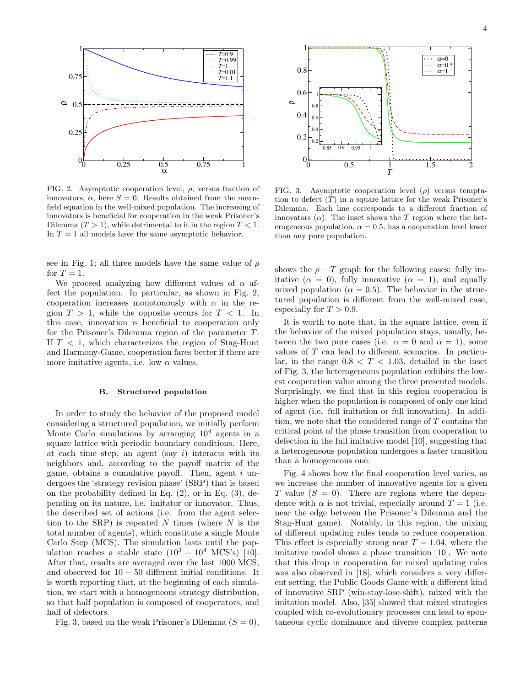

FIG. 2. Asymptotic cooperation level,  $\rho$ , versus fraction of innovators,  $\alpha$ , here  $S = 0$ . Results obtained from the meanfield equation in the well-mixed population. The increasing of innovators is beneficial for cooperation in the weak Prisoner's Dilemma  $(T > 1)$ , while detrimental to it in the region  $T < 1$ . In  $T = 1$  all models have the same asymptotic behavior.

see in Fig. 1; all three models have the same value of  $\rho$ for  $T = 1$ .

We proceed analyzing how different values of  $\alpha$  affect the population. In particular, as shown in Fig. 2, cooperation increases monotonously with  $\alpha$  in the region  $T > 1$ , while the opposite occurs for  $T < 1$ . In this case, innovation is beneficial to cooperation only for the Prisoner's Dilemma region of the parameter T. If  $T < 1$ , which characterizes the region of Stag-Hunt and Harmony-Game, cooperation fares better if there are more imitative agents, i.e. low  $\alpha$  values.

#### B. Structured population

In order to study the behavior of the proposed model considering a structured population, we initially perform Monte Carlo simulations by arranging  $10<sup>4</sup>$  agents in a square lattice with periodic boundary conditions. Here, at each time step, an agent (say  $i$ ) interacts with its neighbors and, according to the payoff matrix of the game, obtains a cumulative payoff. Then, agent  $i$  undergoes the 'strategy revision phase' (SRP) that is based on the probability defined in Eq.  $(2)$ , or in Eq.  $(3)$ , depending on its nature, i.e. imitator or innovator. Thus, the described set of actions (i.e. from the agent selection to the SRP) is repeated  $N$  times (where  $N$  is the total number of agents), which constitute a single Monte Carlo Step (MCS). The simulation lasts until the population reaches a stable state  $(10^3 - 10^4 \text{ MCS's})$  [10]. After that, results are averaged over the last 1000 MCS, and observed for 10 − 50 different initial conditions. It is worth reporting that, at the beginning of each simulation, we start with a homogeneous strategy distribution, so that half population is composed of cooperators, and half of defectors.

Fig. 3, based on the weak Prisoner's Dilemma  $(S = 0)$ ,



FIG. 3. Asymptotic cooperation level  $(\rho)$  versus temptation to defect  $(T)$  in a square lattice for the weak Prisoner's Dilemma. Each line corresponds to a different fraction of innovators  $(\alpha)$ . The inset shows the T region where the heterogeneous population,  $\alpha = 0.5$ , has a cooperation level lower than any pure population.

shows the  $\rho-T$  graph for the following cases: fully imitative  $(\alpha = 0)$ , fully innovative  $(\alpha = 1)$ , and equally mixed population ( $\alpha = 0.5$ ). The behavior in the structured population is different from the well-mixed case, especially for  $T > 0.9$ .

It is worth to note that, in the square lattice, even if the behavior of the mixed population stays, usually, between the two pure cases (i.e.  $\alpha = 0$  and  $\alpha = 1$ ), some values of T can lead to different scenarios. In particular, in the range  $0.8 < T < 1.03$ , detailed in the inset of Fig. 3, the heterogeneous population exhibits the lowest cooperation value among the three presented models. Surprisingly, we find that in this region cooperation is higher when the population is composed of only one kind of agent (i.e. full imitation or full innovation). In addition, we note that the considered range of T contains the critical point of the phase transition from cooperation to defection in the full imitative model [10], suggesting that a heterogeneous population undergoes a faster transition than a homogeneous one.

Fig. 4 shows how the final cooperation level varies, as we increase the number of innovative agents for a given T value  $(S = 0)$ . There are regions where the dependence with  $\alpha$  is not trivial, especially around  $T = 1$  (i.e. near the edge between the Prisoner's Dilemma and the Stag-Hunt game). Notably, in this region, the mixing of different updating rules tends to reduce cooperation. This effect is especially strong near  $T = 1.04$ , where the imitative model shows a phase transition [10]. We note that this drop in cooperation for mixed updating rules was also observed in [18], which considers a very different setting, the Public Goods Game with a different kind of innovative SRP (win-stay-lose-shift), mixed with the imitation model. Also, [35] showed that mixed strategies coupled with co-evolutionary processes can lead to spontaneous cyclic dominance and diverse complex patterns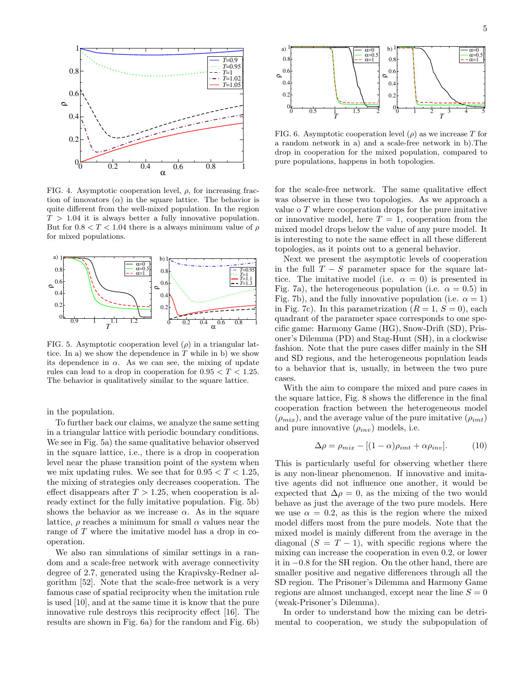

FIG. 4. Asymptotic cooperation level,  $\rho$ , for increasing fraction of innovators  $(\alpha)$  in the square lattice. The behavior is quite different from the well-mixed population. In the region  $T > 1.04$  it is always better a fully innovative population. But for  $0.8 < T < 1.04$  there is a always minimum value of  $\rho$ for mixed populations.



FIG. 5. Asymptotic cooperation level  $(\rho)$  in a triangular lattice. In a) we show the dependence in  $T$  while in b) we show its dependence in  $\alpha$ . As we can see, the mixing of update rules can lead to a drop in cooperation for  $0.95 < T < 1.25$ . The behavior is qualitatively similar to the square lattice.

in the population.

To further back our claims, we analyze the same setting in a triangular lattice with periodic boundary conditions. We see in Fig. 5a) the same qualitative behavior observed in the square lattice, i.e., there is a drop in cooperation level near the phase transition point of the system when we mix updating rules. We see that for  $0.95 < T < 1.25$ , the mixing of strategies only decreases cooperation. The effect disappears after  $T > 1.25$ , when cooperation is already extinct for the fully imitative population. Fig. 5b) shows the behavior as we increase  $\alpha$ . As in the square lattice,  $\rho$  reaches a minimum for small  $\alpha$  values near the range of T where the imitative model has a drop in cooperation.

We also ran simulations of similar settings in a random and a scale-free network with average connectivity degree of 2.7, generated using the Krapivsky-Redner algorithm [52]. Note that the scale-free network is a very famous case of spatial reciprocity when the imitation rule is used [10], and at the same time it is know that the pure innovative rule destroys this reciprocity effect [16]. The results are shown in Fig. 6a) for the random and Fig. 6b)



FIG. 6. Asymptotic cooperation level  $(\rho)$  as we increase T for a random network in a) and a scale-free network in b).The drop in cooperation for the mixed population, compared to pure populations, happens in both topologies.

for the scale-free network. The same qualitative effect was observe in these two topologies. As we approach a value o T where cooperation drops for the pure imitative or innovative model, here  $T = 1$ , cooperation from the mixed model drops below the value of any pure model. It is interesting to note the same effect in all these different topologies, as it points out to a general behavior.

Next we present the asymptotic levels of cooperation in the full  $T - S$  parameter space for the square lattice. The imitative model (i.e.  $\alpha = 0$ ) is presented in Fig. 7a), the heterogeneous population (i.e.  $\alpha = 0.5$ ) in Fig. 7b), and the fully innovative population (i.e.  $\alpha = 1$ ) in Fig. 7c). In this parametrization  $(R = 1, S = 0)$ , each quadrant of the parameter space corresponds to one specific game: Harmony Game (HG), Snow-Drift (SD), Prisoner's Dilemma (PD) and Stag-Hunt (SH), in a clockwise fashion. Note that the pure cases differ mainly in the SH and SD regions, and the heterogeneous population leads to a behavior that is, usually, in between the two pure cases.

With the aim to compare the mixed and pure cases in the square lattice, Fig. 8 shows the difference in the final cooperation fraction between the heterogeneous model  $(\rho_{mix})$ , and the average value of the pure imitative  $(\rho_{imt})$ and pure innovative  $(\rho_{inv})$  models, i.e.

$$
\Delta \rho = \rho_{mix} - [(1 - \alpha)\rho_{imt} + \alpha \rho_{inv}]. \tag{10}
$$

This is particularly useful for observing whether there is any non-linear phenomenon. If innovative and imitative agents did not influence one another, it would be expected that  $\Delta \rho = 0$ , as the mixing of the two would behave as just the average of the two pure models. Here we use  $\alpha = 0.2$ , as this is the region where the mixed model differs most from the pure models. Note that the mixed model is mainly different from the average in the diagonal  $(S = T - 1)$ , with specific regions where the mixing can increase the cooperation in even 0.2, or lower it in −0.8 for the SH region. On the other hand, there are smaller positive and negative differences through all the SD region. The Prisoner's Dilemma and Harmony Game regions are almost unchanged, except near the line  $S = 0$ (weak-Prisoner's Dilemma).

In order to understand how the mixing can be detrimental to cooperation, we study the subpopulation of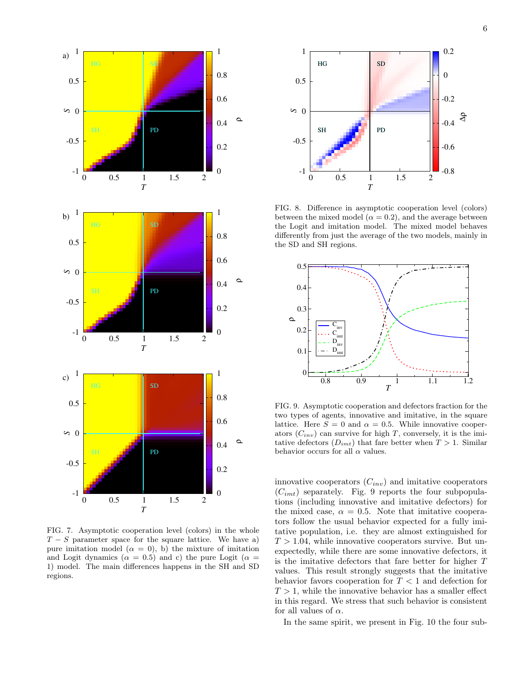

FIG. 7. Asymptotic cooperation level (colors) in the whole  $T-S$  parameter space for the square lattice. We have a) pure imitation model ( $\alpha = 0$ ), b) the mixture of imitation and Logit dynamics ( $\alpha = 0.5$ ) and c) the pure Logit ( $\alpha =$ 1) model. The main differences happens in the SH and SD regions.



FIG. 8. Difference in asymptotic cooperation level (colors) between the mixed model ( $\alpha = 0.2$ ), and the average between the Logit and imitation model. The mixed model behaves differently from just the average of the two models, mainly in the SD and SH regions.



FIG. 9. Asymptotic cooperation and defectors fraction for the two types of agents, innovative and imitative, in the square lattice. Here  $S = 0$  and  $\alpha = 0.5$ . While innovative cooperators  $(C_{inv})$  can survive for high T, conversely, it is the imitative defectors  $(D_{imt})$  that fare better when  $T > 1$ . Similar behavior occurs for all  $\alpha$  values.

innovative cooperators  $(C_{inv})$  and imitative cooperators  $(C_{imt})$  separately. Fig. 9 reports the four subpopulations (including innovative and imitative defectors) for the mixed case,  $\alpha = 0.5$ . Note that imitative cooperators follow the usual behavior expected for a fully imitative population, i.e. they are almost extinguished for  $T > 1.04$ , while innovative cooperators survive. But unexpectedly, while there are some innovative defectors, it is the imitative defectors that fare better for higher T values. This result strongly suggests that the imitative behavior favors cooperation for  $T < 1$  and defection for  $T > 1$ , while the innovative behavior has a smaller effect in this regard. We stress that such behavior is consistent for all values of  $\alpha$ .

In the same spirit, we present in Fig. 10 the four sub-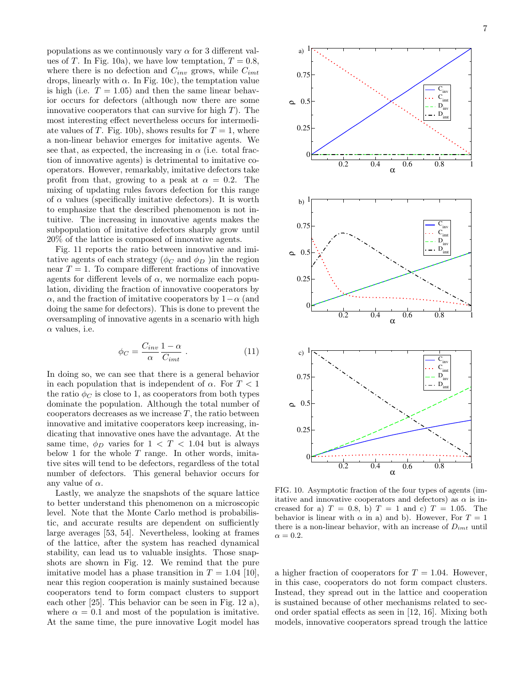populations as we continuously vary  $\alpha$  for 3 different values of T. In Fig. 10a), we have low temptation,  $T = 0.8$ , where there is no defection and  $C_{inv}$  grows, while  $C_{imt}$ drops, linearly with  $\alpha$ . In Fig. 10c), the temptation value is high (i.e.  $T = 1.05$ ) and then the same linear behavior occurs for defectors (although now there are some innovative cooperators that can survive for high  $T$ ). The most interesting effect nevertheless occurs for intermediate values of T. Fig. 10b), shows results for  $T = 1$ , where a non-linear behavior emerges for imitative agents. We see that, as expected, the increasing in  $\alpha$  (i.e. total fraction of innovative agents) is detrimental to imitative cooperators. However, remarkably, imitative defectors take profit from that, growing to a peak at  $\alpha = 0.2$ . The mixing of updating rules favors defection for this range of  $\alpha$  values (specifically imitative defectors). It is worth to emphasize that the described phenomenon is not intuitive. The increasing in innovative agents makes the subpopulation of imitative defectors sharply grow until 20% of the lattice is composed of innovative agents.

Fig. 11 reports the ratio between innovative and imitative agents of each strategy ( $\phi_C$  and  $\phi_D$ ) in the region near  $T = 1$ . To compare different fractions of innovative agents for different levels of  $\alpha$ , we normalize each population, dividing the fraction of innovative cooperators by  $\alpha$ , and the fraction of imitative cooperators by 1– $\alpha$  (and doing the same for defectors). This is done to prevent the oversampling of innovative agents in a scenario with high  $\alpha$  values, i.e.

$$
\phi_C = \frac{C_{inv}}{\alpha} \frac{1 - \alpha}{C_{imt}} \ . \tag{11}
$$

In doing so, we can see that there is a general behavior in each population that is independent of  $\alpha$ . For  $T < 1$ the ratio  $\phi_C$  is close to 1, as cooperators from both types dominate the population. Although the total number of cooperators decreases as we increase  $T$ , the ratio between innovative and imitative cooperators keep increasing, indicating that innovative ones have the advantage. At the same time,  $\phi_D$  varies for  $1 < T < 1.04$  but is always below 1 for the whole  $T$  range. In other words, imitative sites will tend to be defectors, regardless of the total number of defectors. This general behavior occurs for any value of  $\alpha$ .

Lastly, we analyze the snapshots of the square lattice to better understand this phenomenon on a microscopic level. Note that the Monte Carlo method is probabilistic, and accurate results are dependent on sufficiently large averages [53, 54]. Nevertheless, looking at frames of the lattice, after the system has reached dynamical stability, can lead us to valuable insights. Those snapshots are shown in Fig. 12. We remind that the pure imitative model has a phase transition in  $T = 1.04$  [10], near this region cooperation is mainly sustained because cooperators tend to form compact clusters to support each other [25]. This behavior can be seen in Fig. 12 a), where  $\alpha = 0.1$  and most of the population is imitative. At the same time, the pure innovative Logit model has



FIG. 10. Asymptotic fraction of the four types of agents (imitative and innovative cooperators and defectors) as  $\alpha$  is increased for a)  $T = 0.8$ , b)  $T = 1$  and c)  $T = 1.05$ . The behavior is linear with  $\alpha$  in a) and b). However, For  $T = 1$ there is a non-linear behavior, with an increase of  $D_{imt}$  until  $\alpha = 0.2$ .

a higher fraction of cooperators for  $T = 1.04$ . However, in this case, cooperators do not form compact clusters. Instead, they spread out in the lattice and cooperation is sustained because of other mechanisms related to second order spatial effects as seen in [12, 16]. Mixing both models, innovative cooperators spread trough the lattice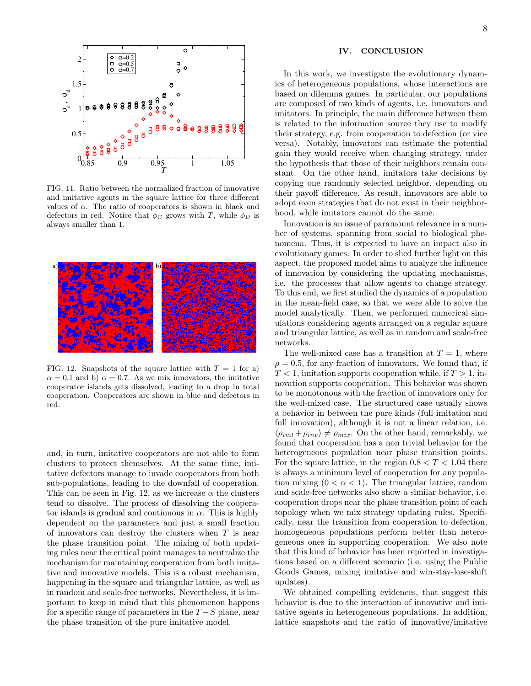

FIG. 11. Ratio between the normalized fraction of innovative and imitative agents in the square lattice for three different values of  $\alpha$ . The ratio of cooperators is shown in black and defectors in red. Notice that  $\phi_C$  grows with T, while  $\phi_D$  is always smaller than 1.



FIG. 12. Snapshots of the square lattice with  $T = 1$  for a)  $\alpha = 0.1$  and b)  $\alpha = 0.7$ . As we mix innovators, the imitative cooperator islands gets dissolved, leading to a drop in total cooperation. Cooperators are shown in blue and defectors in red.

and, in turn, imitative cooperators are not able to form clusters to protect themselves. At the same time, imitative defectors manage to invade cooperators from both sub-populations, leading to the downfall of cooperation. This can be seen in Fig. 12, as we increase  $\alpha$  the clusters tend to dissolve. The process of dissolving the cooperator islands is gradual and continuous in  $\alpha$ . This is highly dependent on the parameters and just a small fraction of innovators can destroy the clusters when  $T$  is near the phase transition point. The mixing of both updating rules near the critical point manages to neutralize the mechanism for maintaining cooperation from both imitative and innovative models. This is a robust mechanism, happening in the square and triangular lattice, as well as in random and scale-free networks. Nevertheless, it is important to keep in mind that this phenomenon happens for a specific range of parameters in the  $T-S$  plane, near the phase transition of the pure imitative model.

#### IV. CONCLUSION

In this work, we investigate the evolutionary dynamics of heterogeneous populations, whose interactions are based on dilemma games. In particular, our populations are composed of two kinds of agents, i.e. innovators and imitators. In principle, the main difference between them is related to the information source they use to modify their strategy, e.g. from cooperation to defection (or vice versa). Notably, innovators can estimate the potential gain they would receive when changing strategy, under the hypothesis that those of their neighbors remain constant. On the other hand, imitators take decisions by copying one randomly selected neighbor, depending on their payoff difference. As result, innovators are able to adopt even strategies that do not exist in their neighborhood, while imitators cannot do the same.

Innovation is an issue of paramount relevance in a number of systems, spanning from social to biological phenomena. Thus, it is expected to have an impact also in evolutionary games. In order to shed further light on this aspect, the proposed model aims to analyze the influence of innovation by considering the updating mechanisms, i.e. the processes that allow agents to change strategy. To this end, we first studied the dynamics of a population in the mean-field case, so that we were able to solve the model analytically. Then, we performed numerical simulations considering agents arranged on a regular square and triangular lattice, as well as in random and scale-free networks.

The well-mixed case has a transition at  $T = 1$ , where  $\rho = 0.5$ , for any fraction of innovators. We found that, if  $T < 1$ , imitation supports cooperation while, if  $T > 1$ , innovation supports cooperation. This behavior was shown to be monotonous with the fraction of innovators only for the well-mixed case. The structured case usually shows a behavior in between the pure kinds (full imitation and full innovation), although it is not a linear relation, i.e.  $\langle \rho_{imt} + \rho_{inv} \rangle \neq \rho_{mix}$ . On the other hand, remarkably, we found that cooperation has a non trivial behavior for the heterogeneous population near phase transition points. For the square lattice, in the region  $0.8 < T < 1.04$  there is always a minimum level of cooperation for any population mixing  $(0 < \alpha < 1)$ . The triangular lattice, random and scale-free networks also show a similar behavior, i.e. cooperation drops near the phase transition point of each topology when we mix strategy updating rules. Specifically, near the transition from cooperation to defection, homogeneous populations perform better than heterogeneous ones in supporting cooperation. We also note that this kind of behavior has been reported in investigations based on a different scenario (i.e. using the Public Goods Games, mixing imitative and win-stay-lose-shift updates).

We obtained compelling evidences, that suggest this behavior is due to the interaction of innovative and imitative agents in heterogeneous populations. In addition, lattice snapshots and the ratio of innovative/imitative